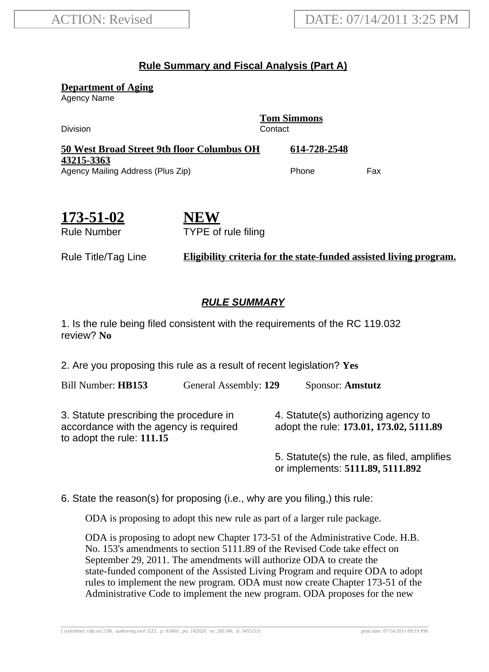## **Rule Summary and Fiscal Analysis (Part A)**

**Department of Aging**

Agency Name

**Tom Simmons** Division Contact **50 West Broad Street 9th floor Columbus OH 43215-3363 614-728-2548** Agency Mailing Address (Plus Zip) example and the Phone Fax

**173-51-02** Rule Number

**NEW** TYPE of rule filing

Rule Title/Tag Line **Eligibility criteria for the state-funded assisted living program.**

## **RULE SUMMARY**

1. Is the rule being filed consistent with the requirements of the RC 119.032 review? **No**

2. Are you proposing this rule as a result of recent legislation? **Yes**

Bill Number: **HB153** General Assembly: **129** Sponsor: **Amstutz**

3. Statute prescribing the procedure in accordance with the agency is required to adopt the rule: **111.15**

4. Statute(s) authorizing agency to adopt the rule: **173.01, 173.02, 5111.89**

5. Statute(s) the rule, as filed, amplifies or implements: **5111.89, 5111.892**

6. State the reason(s) for proposing (i.e., why are you filing,) this rule:

ODA is proposing to adopt this new rule as part of a larger rule package.

ODA is proposing to adopt new Chapter 173-51 of the Administrative Code. H.B. No. 153's amendments to section 5111.89 of the Revised Code take effect on September 29, 2011. The amendments will authorize ODA to create the state-funded component of the Assisted Living Program and require ODA to adopt rules to implement the new program. ODA must now create Chapter 173-51 of the Administrative Code to implement the new program. ODA proposes for the new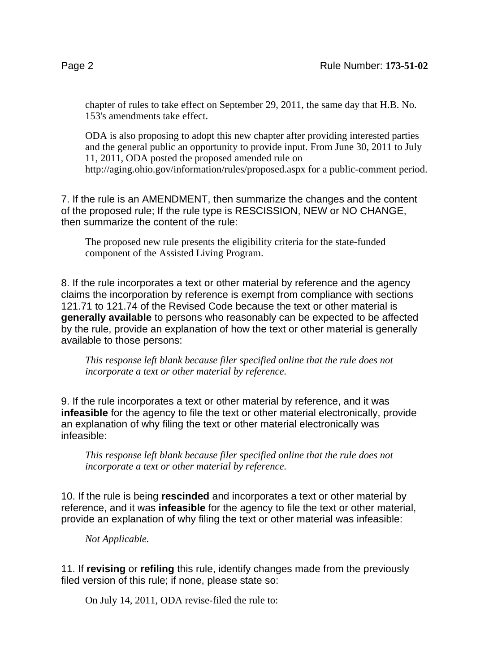chapter of rules to take effect on September 29, 2011, the same day that H.B. No. 153's amendments take effect.

ODA is also proposing to adopt this new chapter after providing interested parties and the general public an opportunity to provide input. From June 30, 2011 to July 11, 2011, ODA posted the proposed amended rule on http://aging.ohio.gov/information/rules/proposed.aspx for a public-comment period.

7. If the rule is an AMENDMENT, then summarize the changes and the content of the proposed rule; If the rule type is RESCISSION, NEW or NO CHANGE, then summarize the content of the rule:

The proposed new rule presents the eligibility criteria for the state-funded component of the Assisted Living Program.

8. If the rule incorporates a text or other material by reference and the agency claims the incorporation by reference is exempt from compliance with sections 121.71 to 121.74 of the Revised Code because the text or other material is **generally available** to persons who reasonably can be expected to be affected by the rule, provide an explanation of how the text or other material is generally available to those persons:

*This response left blank because filer specified online that the rule does not incorporate a text or other material by reference.*

9. If the rule incorporates a text or other material by reference, and it was **infeasible** for the agency to file the text or other material electronically, provide an explanation of why filing the text or other material electronically was infeasible:

*This response left blank because filer specified online that the rule does not incorporate a text or other material by reference.*

10. If the rule is being **rescinded** and incorporates a text or other material by reference, and it was **infeasible** for the agency to file the text or other material, provide an explanation of why filing the text or other material was infeasible:

*Not Applicable.*

11. If **revising** or **refiling** this rule, identify changes made from the previously filed version of this rule; if none, please state so:

On July 14, 2011, ODA revise-filed the rule to: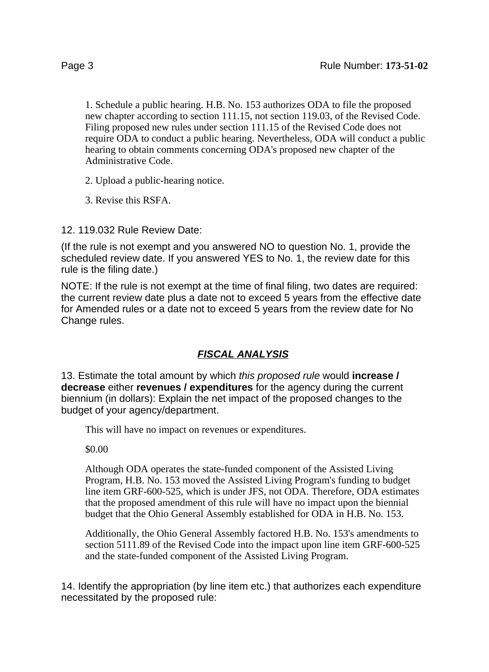1. Schedule a public hearing. H.B. No. 153 authorizes ODA to file the proposed new chapter according to section 111.15, not section 119.03, of the Revised Code. Filing proposed new rules under section 111.15 of the Revised Code does not require ODA to conduct a public hearing. Nevertheless, ODA will conduct a public hearing to obtain comments concerning ODA's proposed new chapter of the Administrative Code.

2. Upload a public-hearing notice.

3. Revise this RSFA.

12. 119.032 Rule Review Date:

(If the rule is not exempt and you answered NO to question No. 1, provide the scheduled review date. If you answered YES to No. 1, the review date for this rule is the filing date.)

NOTE: If the rule is not exempt at the time of final filing, two dates are required: the current review date plus a date not to exceed 5 years from the effective date for Amended rules or a date not to exceed 5 years from the review date for No Change rules.

## **FISCAL ANALYSIS**

13. Estimate the total amount by which this proposed rule would **increase / decrease** either **revenues / expenditures** for the agency during the current biennium (in dollars): Explain the net impact of the proposed changes to the budget of your agency/department.

This will have no impact on revenues or expenditures.

\$0.00

Although ODA operates the state-funded component of the Assisted Living Program, H.B. No. 153 moved the Assisted Living Program's funding to budget line item GRF-600-525, which is under JFS, not ODA. Therefore, ODA estimates that the proposed amendment of this rule will have no impact upon the biennial budget that the Ohio General Assembly established for ODA in H.B. No. 153.

Additionally, the Ohio General Assembly factored H.B. No. 153's amendments to section 5111.89 of the Revised Code into the impact upon line item GRF-600-525 and the state-funded component of the Assisted Living Program.

14. Identify the appropriation (by line item etc.) that authorizes each expenditure necessitated by the proposed rule: